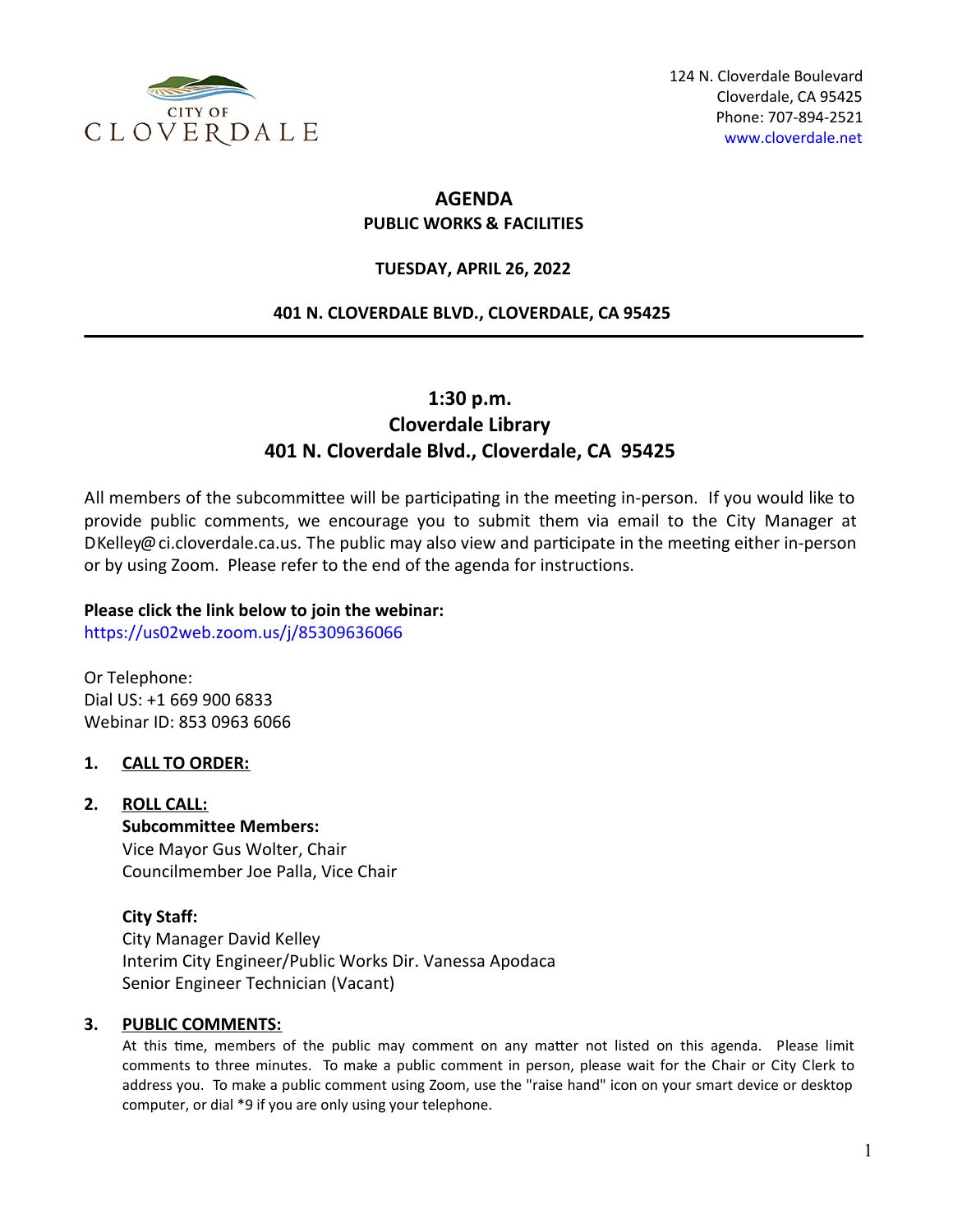

# **AGENDA PUBLIC WORKS & FACILITIES**

## **TUESDAY, APRIL 26, 2022**

#### **401 N. CLOVERDALE BLVD., CLOVERDALE, CA 95425**

# **1:30 p.m. Cloverdale Library 401 N. Cloverdale Blvd., Cloverdale, CA 95425**

All members of the subcommittee will be participating in the meeting in-person. If you would like to provide public comments, we encourage you to submit them via email to the City Manager at DKelley@ci.cloverdale.ca.us. The public may also view and participate in the meeting either in-person or by using Zoom. Please refer to the end of the agenda for instructions.

### **Please click the link below to join the webinar:**

<https://us02web.zoom.us/j/85309636066>

Or Telephone: Dial US: +1 669 900 6833 Webinar ID: 853 0963 6066

#### **1. CALL TO ORDER:**

# **2. ROLL CALL:**

**Subcommittee Members:** Vice Mayor Gus Wolter, Chair Councilmember Joe Palla, Vice Chair

# **City Staff:**

City Manager David Kelley Interim City Engineer/Public Works Dir. Vanessa Apodaca Senior Engineer Technician (Vacant)

#### **3. PUBLIC COMMENTS:**

At this time, members of the public may comment on any matter not listed on this agenda. Please limit comments to three minutes. To make a public comment in person, please wait for the Chair or City Clerk to address you. To make a public comment using Zoom, use the "raise hand" icon on your smart device or desktop computer, or dial \*9 if you are only using your telephone.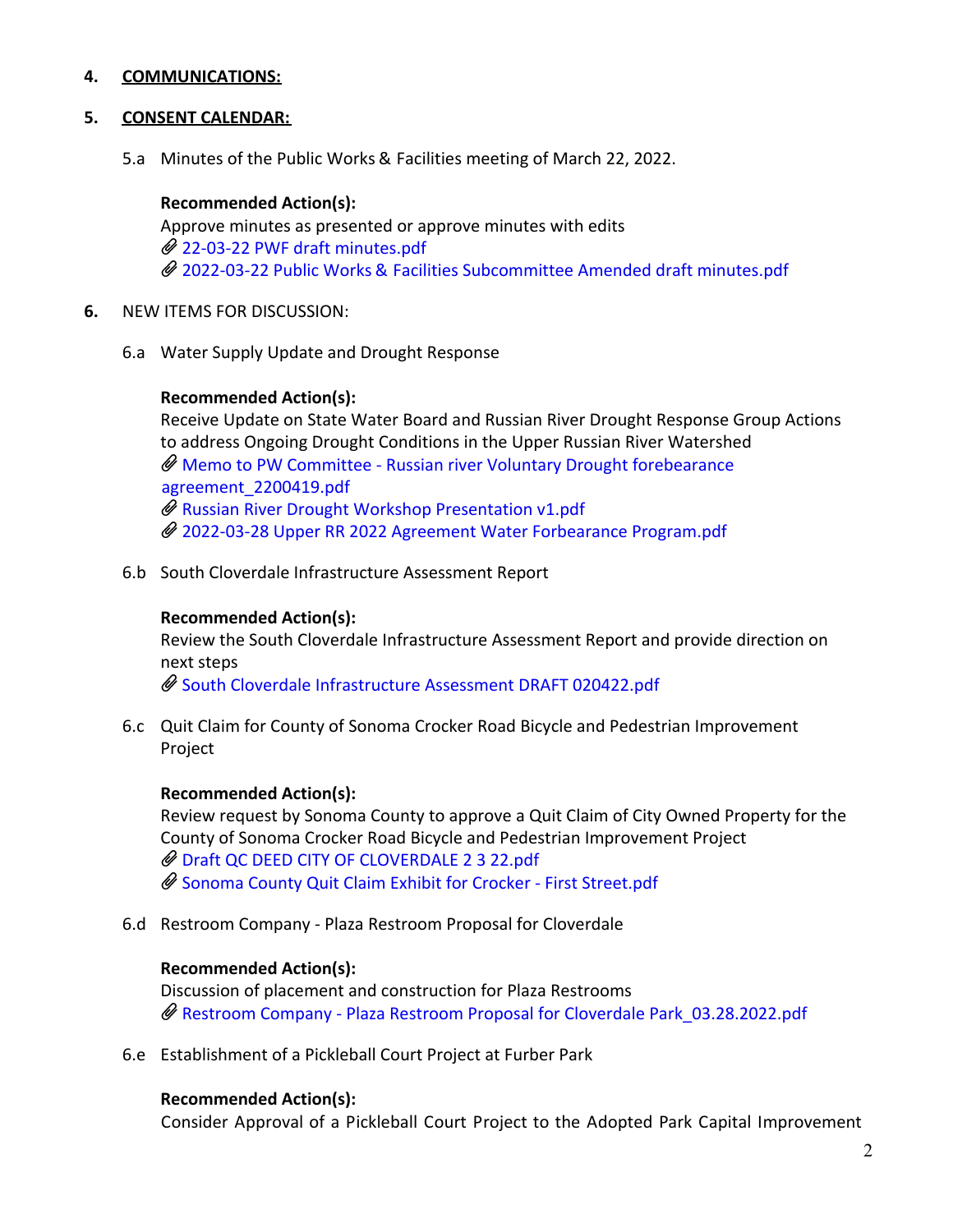## **4. COMMUNICATIONS:**

#### **5. CONSENT CALENDAR:**

5.a Minutes of the Public Works & Facilities meeting of March 22, 2022.

#### **Recommended Action(s):**

Approve minutes as presented or approve minutes with edits 22-03-22 PWF draft [minutes.pdf](https://legistarweb-production.s3.amazonaws.com/uploads/attachment/pdf/1339755/22-03-22_PWF_draft_minutes.pdf) 2022-03-22 Public Works & Facilities [Subcommittee](https://legistarweb-production.s3.amazonaws.com/uploads/attachment/pdf/1345017/2022-03-22_Public_Works___Facilities_Subcommittee_Amended_draft_minutes.pdf) Amended draft minutes.pdf

- **6.** NEW ITEMS FOR DISCUSSION:
	- 6.a Water Supply Update and Drought Response

#### **Recommended Action(s):**

Receive Update on State Water Board and Russian River Drought Response Group Actions to address Ongoing Drought Conditions in the Upper Russian River Watershed Memo to PW Committee - Russian river Voluntary Drought forebearance [agreement\\_2200419.pdf](https://legistarweb-production.s3.amazonaws.com/uploads/attachment/pdf/1344920/Memo_to_PW_Committee_-_Russian_river_Voluntary_Drought_forebearance_agreement_2200419.pdf)  $\overline{\mathscr{O}}$  Russian River Drought Workshop [Presentation](https://legistarweb-production.s3.amazonaws.com/uploads/attachment/pdf/1342210/Russian_River_Drought_Workshop_Presentation_v1.pdf) v1.pdf 2022-03-28 Upper RR 2022 Agreement Water [Forbearance](https://legistarweb-production.s3.amazonaws.com/uploads/attachment/pdf/1342211/2022-03-28_Upper_RR_2022_Agreement_Water_Forbearance_Program.pdf) Program.pdf

6.b South Cloverdale Infrastructure Assessment Report

#### **Recommended Action(s):**

Review the South Cloverdale Infrastructure Assessment Report and provide direction on next steps

South Cloverdale [Infrastructure](https://legistarweb-production.s3.amazonaws.com/uploads/attachment/pdf/1342161/South_Cloverdale_Infrastructure_Assessment_DRAFT_020422.pdf) Assessment DRAFT 020422.pdf

6.c Quit Claim for County of Sonoma Crocker Road Bicycle and Pedestrian Improvement Project

#### **Recommended Action(s):**

Review request by Sonoma County to approve a Quit Claim of City Owned Property for the County of Sonoma Crocker Road Bicycle and Pedestrian Improvement Project Draft QC DEED CITY OF [CLOVERDALE](https://legistarweb-production.s3.amazonaws.com/uploads/attachment/pdf/1342147/Draft_QC_DEED_CITY_OF_CLOVERDALE_2_3_22.pdf) 2 3 22.pdf Sonoma County Quit Claim Exhibit for Crocker - First [Street.pdf](https://legistarweb-production.s3.amazonaws.com/uploads/attachment/pdf/1342152/Sonoma_County_Quit_Claim_Exhibit_for_Crocker_-_First_Street.pdf)

6.d Restroom Company - Plaza Restroom Proposal for Cloverdale

#### **Recommended Action(s):**

Discussion of placement and construction for Plaza Restrooms Restroom Company - Plaza Restroom Proposal for Cloverdale [Park\\_03.28.2022.pdf](https://legistarweb-production.s3.amazonaws.com/uploads/attachment/pdf/1339781/Restroom_Company_-_Plaza_Restroom_Proposal_for_Cloverdale_Park_03.28.2022.pdf)

6.e Establishment of a Pickleball Court Project at Furber Park

#### **Recommended Action(s):**

Consider Approval of a Pickleball Court Project to the Adopted Park Capital Improvement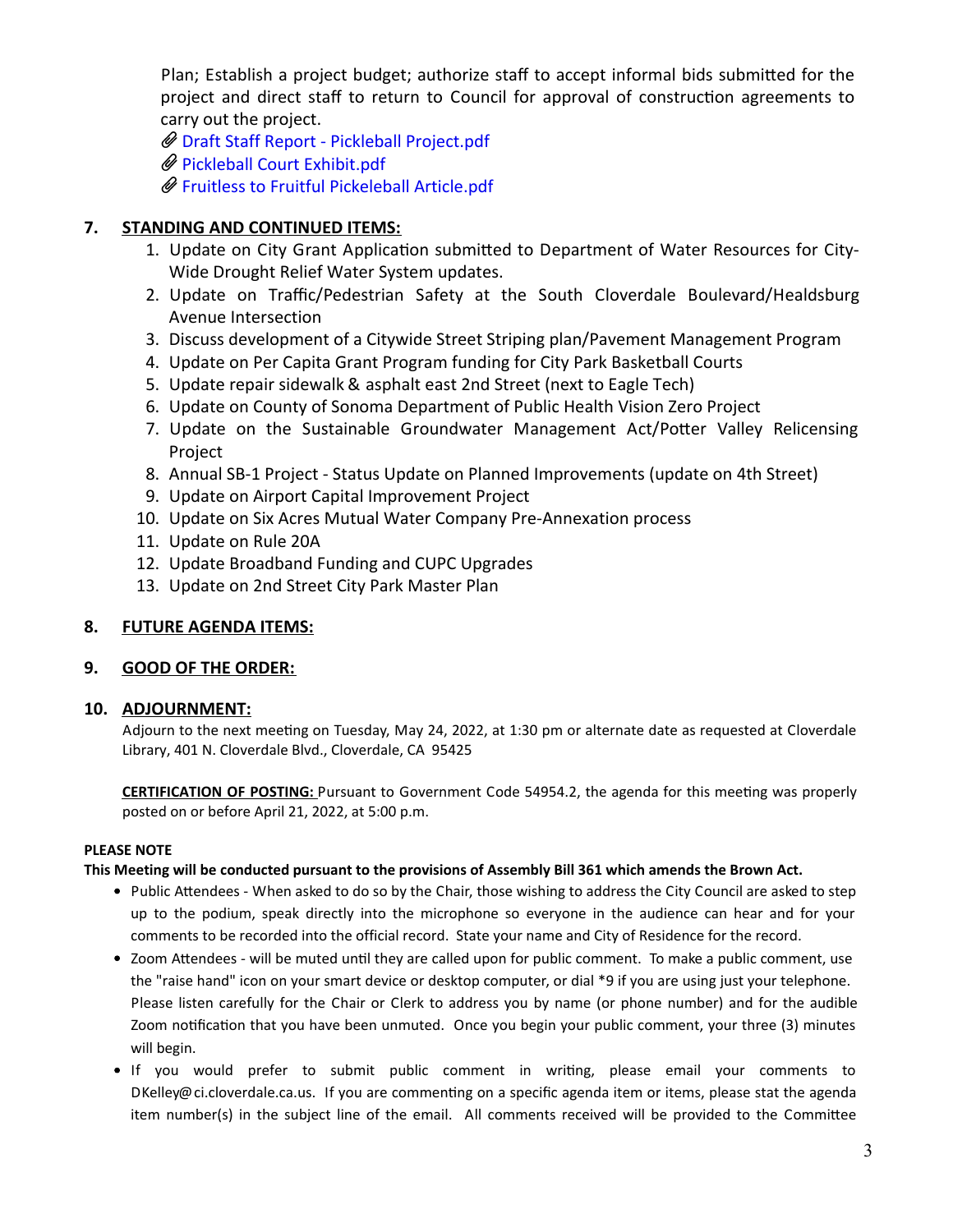Plan; Establish a project budget; authorize staff to accept informal bids submitted for the project and direct staff to return to Council for approval of construction agreements to carry out the project.

Draft Staff Report - Pickleball [Project.pdf](https://legistarweb-production.s3.amazonaws.com/uploads/attachment/pdf/1342224/Draft_Staff_Report_-_Pickleball_Project.pdf)

Pickleball Court [Exhibit.pdf](https://legistarweb-production.s3.amazonaws.com/uploads/attachment/pdf/1342226/Pickleball_Court_Exhibit.pdf)

Fruitless to Fruitful [Pickeleball](https://legistarweb-production.s3.amazonaws.com/uploads/attachment/pdf/1345018/Fruitless_to_Fruitful_Pickeleball_Article.pdf) Article.pdf

# **7. STANDING AND CONTINUED ITEMS:**

- 1. Update on City Grant Application submitted to Department of Water Resources for City-Wide Drought Relief Water System updates.
- 2. Update on Traffic/Pedestrian Safety at the South Cloverdale Boulevard/Healdsburg Avenue Intersection
- 3. Discuss development of a Citywide Street Striping plan/Pavement Management Program
- 4. Update on Per Capita Grant Program funding for City Park Basketball Courts
- 5. Update repair sidewalk & asphalt east 2nd Street (next to Eagle Tech)
- 6. Update on County of Sonoma Department of Public Health Vision Zero Project
- 7. Update on the Sustainable Groundwater Management Act/Potter Valley Relicensing Project
- 8. Annual SB-1 Project Status Update on Planned Improvements (update on 4th Street)
- 9. Update on Airport Capital Improvement Project
- 10. Update on Six Acres Mutual Water Company Pre-Annexation process
- 11. Update on Rule 20A
- 12. Update Broadband Funding and CUPC Upgrades
- 13. Update on 2nd Street City Park Master Plan

#### **8. FUTURE AGENDA ITEMS:**

#### **9. GOOD OF THE ORDER:**

#### **10. ADJOURNMENT:**

Adjourn to the next meeting on Tuesday, May 24, 2022, at 1:30 pm or alternate date as requested at Cloverdale Library, 401 N. Cloverdale Blvd., Cloverdale, CA 95425

**CERTIFICATION OF POSTING:** Pursuant to Government Code 54954.2, the agenda for this meeting was properly posted on or before April 21, 2022, at 5:00 p.m.

#### **PLEASE NOTE**

#### This Meeting will be conducted pursuant to the provisions of Assembly Bill 361 which amends the Brown Act.

- Public Attendees When asked to do so by the Chair, those wishing to address the City Council are asked to step up to the podium, speak directly into the microphone so everyone in the audience can hear and for your comments to be recorded into the official record. State your name and City of Residence for the record.
- Zoom Attendees will be muted until they are called upon for public comment. To make a public comment, use the "raise hand" icon on your smart device or desktop computer, or dial \*9 if you are using just your telephone. Please listen carefully for the Chair or Clerk to address you by name (or phone number) and for the audible Zoom notification that you have been unmuted. Once you begin your public comment, your three (3) minutes will begin.
- If you would prefer to submit public comment in writing, please email your comments to DKelley@ci.cloverdale.ca.us. If you are commenting on a specific agenda item or items, please stat the agenda item number(s) in the subject line of the email. All comments received will be provided to the Committee